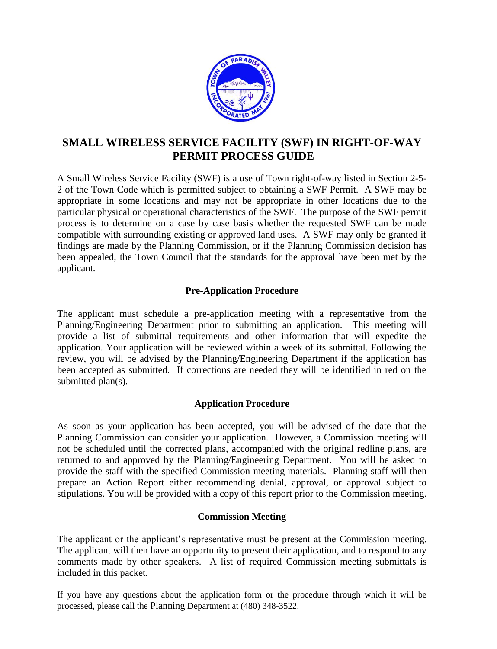

## **SMALL WIRELESS SERVICE FACILITY (SWF) IN RIGHT-OF-WAY PERMIT PROCESS GUIDE**

A Small Wireless Service Facility (SWF) is a use of Town right-of-way listed in Section 2-5- 2 of the Town Code which is permitted subject to obtaining a SWF Permit. A SWF may be appropriate in some locations and may not be appropriate in other locations due to the particular physical or operational characteristics of the SWF. The purpose of the SWF permit process is to determine on a case by case basis whether the requested SWF can be made compatible with surrounding existing or approved land uses. A SWF may only be granted if findings are made by the Planning Commission, or if the Planning Commission decision has been appealed, the Town Council that the standards for the approval have been met by the applicant.

## **Pre**-**Application Procedure**

The applicant must schedule a pre-application meeting with a representative from the Planning/Engineering Department prior to submitting an application. This meeting will provide a list of submittal requirements and other information that will expedite the application. Your application will be reviewed within a week of its submittal. Following the review, you will be advised by the Planning/Engineering Department if the application has been accepted as submitted. If corrections are needed they will be identified in red on the submitted plan(s).

## **Application Procedure**

As soon as your application has been accepted, you will be advised of the date that the Planning Commission can consider your application. However, a Commission meeting will not be scheduled until the corrected plans, accompanied with the original redline plans, are returned to and approved by the Planning/Engineering Department. You will be asked to provide the staff with the specified Commission meeting materials. Planning staff will then prepare an Action Report either recommending denial, approval, or approval subject to stipulations. You will be provided with a copy of this report prior to the Commission meeting.

#### **Commission Meeting**

The applicant or the applicant's representative must be present at the Commission meeting. The applicant will then have an opportunity to present their application, and to respond to any comments made by other speakers. A list of required Commission meeting submittals is included in this packet.

If you have any questions about the application form or the procedure through which it will be processed, please call the Planning Department at (480) 348-3522.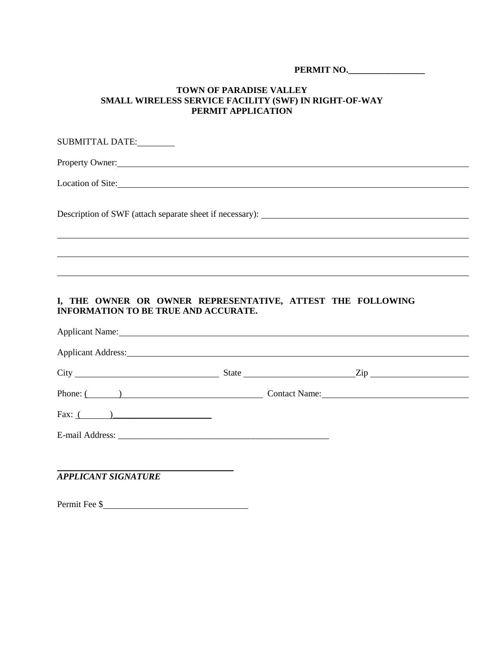**PERMIT NO.** 

#### **TOWN OF PARADISE VALLEY SMALL WIRELESS SERVICE FACILITY (SWF) IN RIGHT-OF-WAY PERMIT APPLICATION**

| SUBMITTAL DATE:                                                                                                                                                                                                                |
|--------------------------------------------------------------------------------------------------------------------------------------------------------------------------------------------------------------------------------|
|                                                                                                                                                                                                                                |
| Location of Site:                                                                                                                                                                                                              |
|                                                                                                                                                                                                                                |
|                                                                                                                                                                                                                                |
|                                                                                                                                                                                                                                |
| I, THE OWNER OR OWNER REPRESENTATIVE, ATTEST THE FOLLOWING<br><b>INFORMATION TO BE TRUE AND ACCURATE.</b>                                                                                                                      |
| Applicant Name: 1988. The Contract of the Contract of the Contract of the Contract of the Contract of the Contract of the Contract of the Contract of the Contract of the Contract of the Contract of the Contract of the Cont |

| Phone: $($ $)$ |  |  |
|----------------|--|--|
| Fax: $($ $)$   |  |  |
|                |  |  |
|                |  |  |

*APPLICANT SIGNATURE*

Permit Fee \$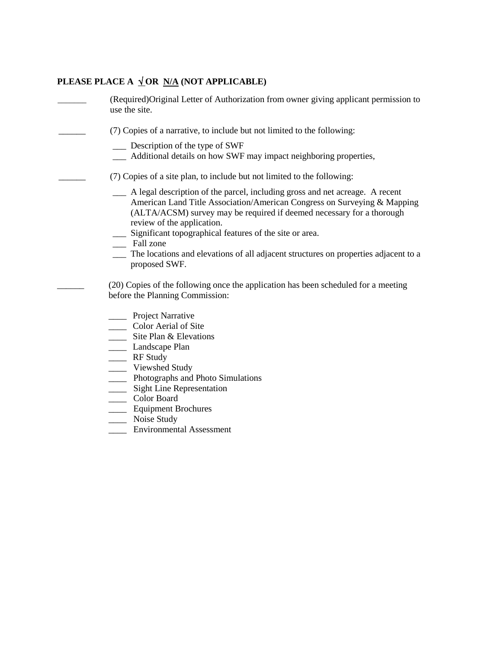## **PLEASE PLACE A**  $\sqrt{\text{OR } N/A}$  **(NOT APPLICABLE)**

| (Required) Original Letter of Authorization from owner giving applicant permission to<br>use the site.                                                                                                                                                                                                                                                                                                                                                |
|-------------------------------------------------------------------------------------------------------------------------------------------------------------------------------------------------------------------------------------------------------------------------------------------------------------------------------------------------------------------------------------------------------------------------------------------------------|
| (7) Copies of a narrative, to include but not limited to the following:<br>Description of the type of SWF<br>__ Additional details on how SWF may impact neighboring properties,                                                                                                                                                                                                                                                                      |
| (7) Copies of a site plan, to include but not limited to the following:                                                                                                                                                                                                                                                                                                                                                                               |
| A legal description of the parcel, including gross and net acreage. A recent<br>American Land Title Association/American Congress on Surveying & Mapping<br>(ALTA/ACSM) survey may be required if deemed necessary for a thorough<br>review of the application.<br>__ Significant topographical features of the site or area.<br>__ Fall zone<br>The locations and elevations of all adjacent structures on properties adjacent to a<br>proposed SWF. |
| (20) Copies of the following once the application has been scheduled for a meeting<br>before the Planning Commission:                                                                                                                                                                                                                                                                                                                                 |
| _ Project Narrative<br>_ Color Aerial of Site<br>$\frac{1}{2}$ Site Plan & Elevations<br>Landscape Plan<br>__ RF Study<br>Viewshed Study<br>____ Photographs and Photo Simulations<br>___ Sight Line Representation<br>Color Board<br><b>Equipment Brochures</b><br>Noise Study                                                                                                                                                                       |

\_\_\_\_ Environmental Assessment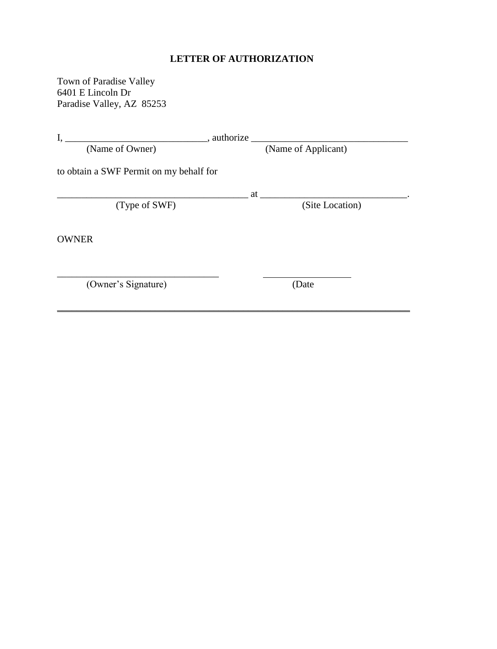## **LETTER OF AUTHORIZATION**

Town of Paradise Valley 6401 E Lincoln Dr Paradise Valley, AZ 85253

| I,<br>, authorize                       |                     |  |
|-----------------------------------------|---------------------|--|
| (Name of Owner)                         | (Name of Applicant) |  |
| to obtain a SWF Permit on my behalf for |                     |  |
|                                         | at                  |  |
| (Type of SWF)                           | (Site Location)     |  |
| <b>OWNER</b>                            |                     |  |
| (Owner's Signature)                     | (Date               |  |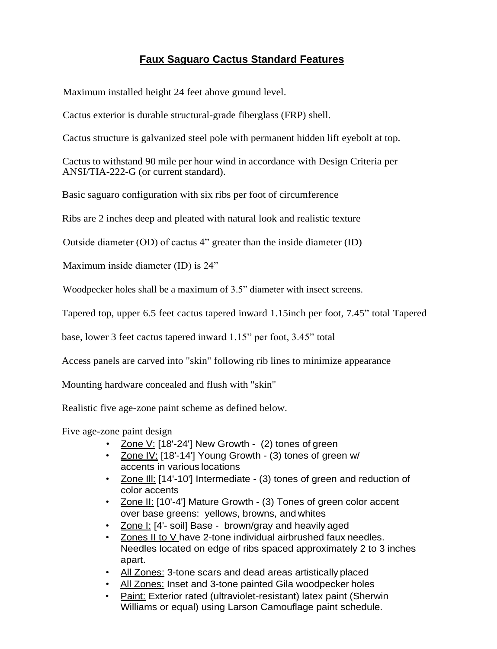## **Faux Saguaro Cactus Standard Features**

Maximum installed height 24 feet above ground level.

Cactus exterior is durable structural-grade fiberglass (FRP) shell.

Cactus structure is galvanized steel pole with permanent hidden lift eyebolt at top.

Cactus to withstand 90 mile per hour wind in accordance with Design Criteria per ANSI/TIA-222-G (or current standard).

Basic saguaro configuration with six ribs per foot of circumference

Ribs are 2 inches deep and pleated with natural look and realistic texture

Outside diameter (OD) of cactus 4" greater than the inside diameter (ID)

Maximum inside diameter (ID) is 24"

Woodpecker holes shall be a maximum of 3.5" diameter with insect screens.

Tapered top, upper 6.5 feet cactus tapered inward 1.15inch per foot, 7.45" total Tapered

base, lower 3 feet cactus tapered inward 1.15" per foot, 3.45" total

Access panels are carved into "skin" following rib lines to minimize appearance

Mounting hardware concealed and flush with "skin"

Realistic five age-zone paint scheme as defined below.

Five age-zone paint design

- Zone V: [18'-24'] New Growth (2) tones of green
- Zone IV: [18'-14'] Young Growth (3) tones of green w/ accents in various locations
- Zone III: [14'-10'] Intermediate (3) tones of green and reduction of color accents
- Zone II: [10'-4'] Mature Growth (3) Tones of green color accent over base greens: yellows, browns, and whites
- Zone I: [4'- soil] Base brown/gray and heavily aged
- Zones II to V have 2-tone individual airbrushed faux needles. Needles located on edge of ribs spaced approximately 2 to 3 inches apart.
- All Zones: 3-tone scars and dead areas artistically placed
- All Zones: Inset and 3-tone painted Gila woodpecker holes
- Paint: Exterior rated (ultraviolet-resistant) latex paint (Sherwin Williams or equal) using Larson Camouflage paint schedule.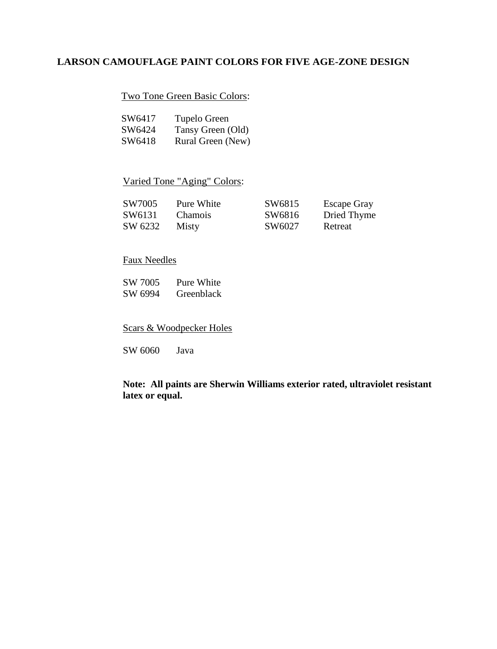## **LARSON CAMOUFLAGE PAINT COLORS FOR FIVE AGE-ZONE DESIGN**

### Two Tone Green Basic Colors:

| SW6417 | Tupelo Green      |
|--------|-------------------|
| SW6424 | Tansy Green (Old) |
| SW6418 | Rural Green (New) |

### Varied Tone "Aging" Colors:

| SW7005  | Pure White     | SW6815 | <b>Escape Gray</b> |
|---------|----------------|--------|--------------------|
| SW6131  | <b>Chamois</b> | SW6816 | Dried Thyme        |
| SW 6232 | <b>Misty</b>   | SW6027 | Retreat            |

## Faux Needles

SW 7005 Pure White<br>SW 6994 Greenblack **Greenblack** 

Scars & Woodpecker Holes

SW 6060 Java

**Note: All paints are Sherwin Williams exterior rated, ultraviolet resistant latex or equal.**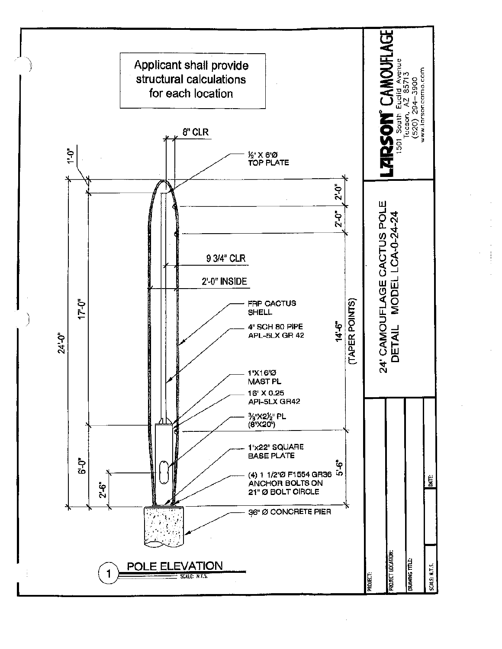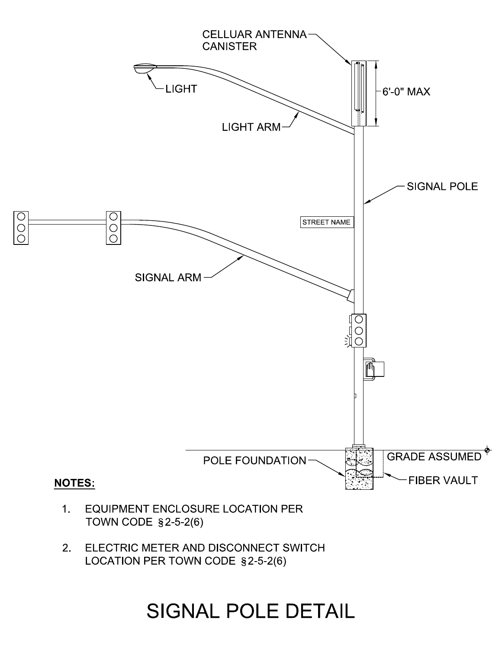

ELECTRIC METER AND DISCONNECT SWITCH  $2.$ LOCATION PER TOWN CODE §2-5-2(6)

## **SIGNAL POLE DETAIL**